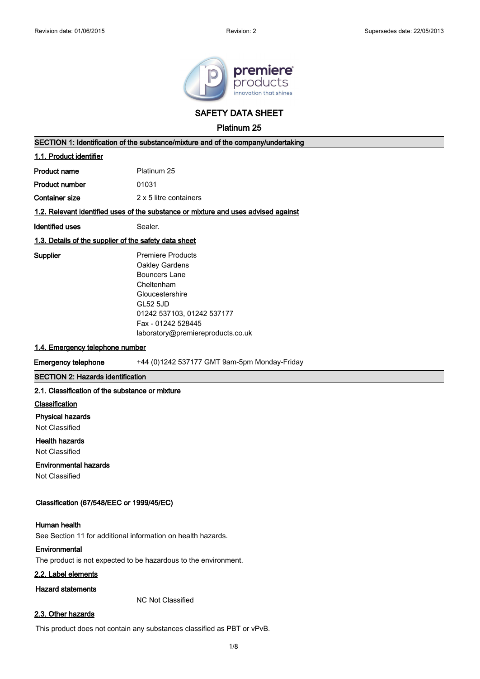

**SAFETY DATA SHEET**

**Platinum 25**

# **SECTION 1: Identification of the substance/mixture and of the company/undertaking**

# **1.1. Product identifier**

**Product number** 01031

**Container size** 2 x 5 litre containers

# **1.2. Relevant identified uses of the substance or mixture and uses advised against**

**Identified uses** Sealer.

### **1.3. Details of the supplier of the safety data sheet**

**Supplier** Premiere Products Oakley Gardens Bouncers Lane Cheltenham Gloucestershire GL52 5JD 01242 537103, 01242 537177 Fax - 01242 528445 laboratory@premiereproducts.co.uk

### **1.4. Emergency telephone number**

**Emergency telephone** +44 (0)1242 537177 GMT 9am-5pm Monday-Friday

### **SECTION 2: Hazards identification**

### **2.1. Classification of the substance or mixture**

### **Classification**

### **Physical hazards**

Not Classified

### **Health hazards**

Not Classified

### **Environmental hazards**

Not Classified

### **Classification (67/548/EEC or 1999/45/EC)**

### **Human health**

See Section 11 for additional information on health hazards.

### **Environmental**

The product is not expected to be hazardous to the environment.

# **2.2. Label elements**

# **Hazard statements**

NC Not Classified

# **2.3. Other hazards**

This product does not contain any substances classified as PBT or vPvB.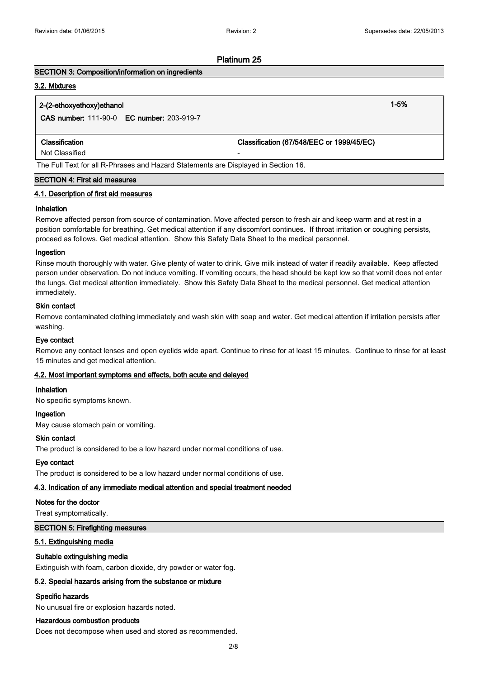### **SECTION 3: Composition/information on ingredients**

### **3.2. Mixtures**

# **2-(2-ethoxyethoxy)ethanol 1-5%**

**CAS number:** 111-90-0 **EC number:** 203-919-7

**Classification Classification (67/548/EEC or 1999/45/EC)**

Not Classified

The Full Text for all R-Phrases and Hazard Statements are Displayed in Section 16.

# **SECTION 4: First aid measures**

### **4.1. Description of first aid measures**

### **Inhalation**

Remove affected person from source of contamination. Move affected person to fresh air and keep warm and at rest in a position comfortable for breathing. Get medical attention if any discomfort continues. If throat irritation or coughing persists, proceed as follows. Get medical attention. Show this Safety Data Sheet to the medical personnel.

### **Ingestion**

Rinse mouth thoroughly with water. Give plenty of water to drink. Give milk instead of water if readily available. Keep affected person under observation. Do not induce vomiting. If vomiting occurs, the head should be kept low so that vomit does not enter the lungs. Get medical attention immediately. Show this Safety Data Sheet to the medical personnel. Get medical attention immediately.

### **Skin contact**

Remove contaminated clothing immediately and wash skin with soap and water. Get medical attention if irritation persists after washing.

### **Eye contact**

Remove any contact lenses and open eyelids wide apart. Continue to rinse for at least 15 minutes. Continue to rinse for at least 15 minutes and get medical attention.

### **4.2. Most important symptoms and effects, both acute and delayed**

# **Inhalation**

No specific symptoms known.

### **Ingestion**

May cause stomach pain or vomiting.

### **Skin contact**

The product is considered to be a low hazard under normal conditions of use.

### **Eye contact**

The product is considered to be a low hazard under normal conditions of use.

# **4.3. Indication of any immediate medical attention and special treatment needed**

### **Notes for the doctor**

Treat symptomatically.

### **SECTION 5: Firefighting measures**

### **5.1. Extinguishing media**

### **Suitable extinguishing media**

Extinguish with foam, carbon dioxide, dry powder or water fog.

### **5.2. Special hazards arising from the substance or mixture**

### **Specific hazards**

No unusual fire or explosion hazards noted.

### **Hazardous combustion products**

Does not decompose when used and stored as recommended.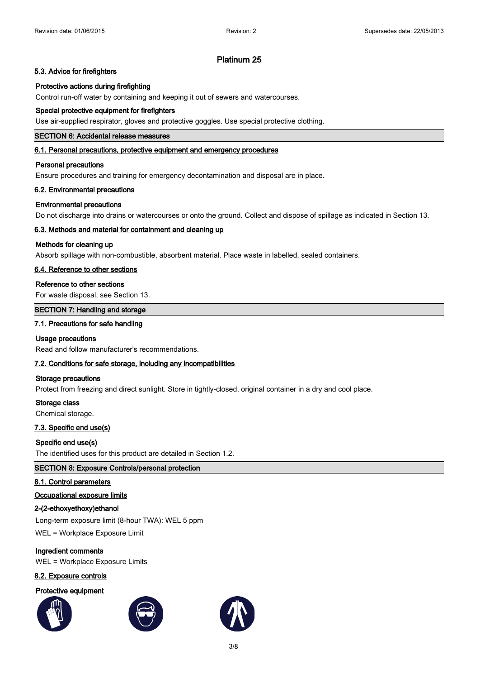# **5.3. Advice for firefighters**

# **Protective actions during firefighting**

Control run-off water by containing and keeping it out of sewers and watercourses.

### **Special protective equipment for firefighters**

Use air-supplied respirator, gloves and protective goggles. Use special protective clothing.

# **SECTION 6: Accidental release measures**

### **6.1. Personal precautions, protective equipment and emergency procedures**

### **Personal precautions**

Ensure procedures and training for emergency decontamination and disposal are in place.

### **6.2. Environmental precautions**

### **Environmental precautions**

Do not discharge into drains or watercourses or onto the ground. Collect and dispose of spillage as indicated in Section 13.

### **6.3. Methods and material for containment and cleaning up**

### **Methods for cleaning up**

Absorb spillage with non-combustible, absorbent material. Place waste in labelled, sealed containers.

### **6.4. Reference to other sections**

### **Reference to other sections**

For waste disposal, see Section 13.

# **SECTION 7: Handling and storage**

### **7.1. Precautions for safe handling**

### **Usage precautions**

Read and follow manufacturer's recommendations.

# **7.2. Conditions for safe storage, including any incompatibilities**

### **Storage precautions**

Protect from freezing and direct sunlight. Store in tightly-closed, original container in a dry and cool place.

### **Storage class**

Chemical storage.

### **7.3. Specific end use(s)**

### **Specific end use(s)**

The identified uses for this product are detailed in Section 1.2.

# **SECTION 8: Exposure Controls/personal protection**

### **8.1. Control parameters**

### **Occupational exposure limits**

## **2-(2-ethoxyethoxy)ethanol**

Long-term exposure limit (8-hour TWA): WEL 5 ppm

WEL = Workplace Exposure Limit

# **Ingredient comments** WEL = Workplace Exposure Limits

# **8.2. Exposure controls**

# **Protective equipment**





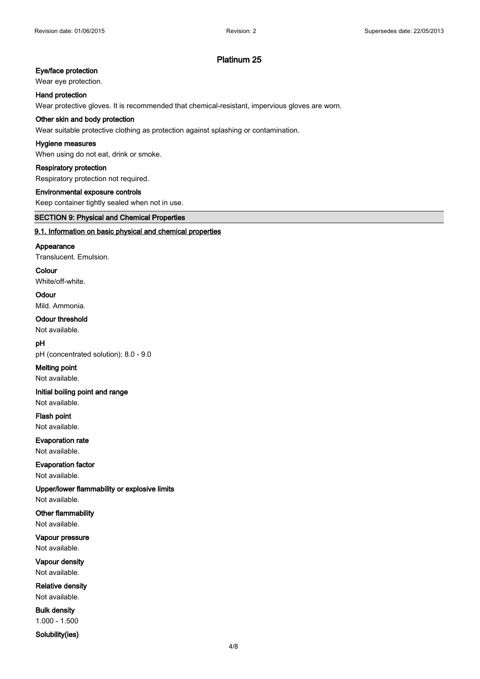# **Eye/face protection**

### Wear eye protection.

**Hand protection**

Wear protective gloves. It is recommended that chemical-resistant, impervious gloves are worn.

### **Other skin and body protection**

Wear suitable protective clothing as protection against splashing or contamination.

### **Hygiene measures**

When using do not eat, drink or smoke.

### **Respiratory protection**

Respiratory protection not required.

### **Environmental exposure controls**

Keep container tightly sealed when not in use.

### **SECTION 9: Physical and Chemical Properties**

### **9.1. Information on basic physical and chemical properties**

#### **Appearance**

Translucent. Emulsion.

# **Colour**

White/off-white.

# **Odour**

Mild. Ammonia.

# **Odour threshold**

Not available.

# **pH**

pH (concentrated solution): 8.0 - 9.0

# **Melting point**

Not available.

# **Initial boiling point and range**

Not available.

# **Flash point** Not available.

**Evaporation rate**

### Not available.

**Evaporation factor** Not available.

# **Upper/lower flammability or explosive limits**

Not available.

# **Other flammability** Not available.

**Vapour pressure** Not available.

# **Vapour density** Not available.

**Relative density** Not available.

# **Bulk density** 1.000 - 1.500

**Solubility(ies)**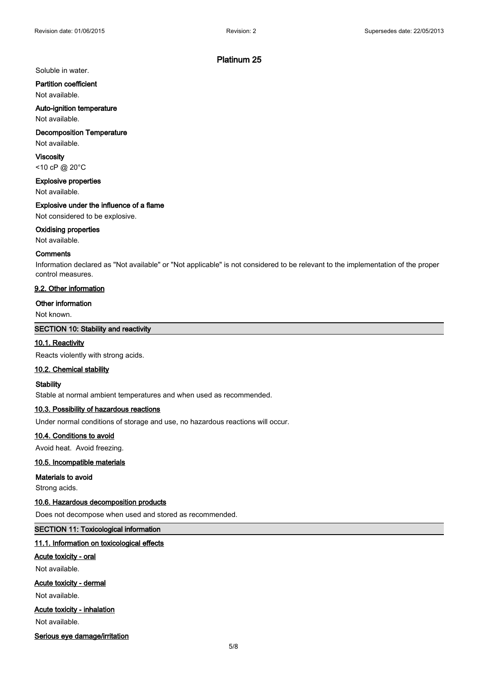### Soluble in water.

**Partition coefficient**

Not available.

# **Auto-ignition temperature**

Not available.

# **Decomposition Temperature**

Not available.

**Viscosity** <10 cP @ 20°C

**Explosive properties** Not available.

### **Explosive under the influence of a flame**

Not considered to be explosive.

### **Oxidising properties**

Not available.

### **Comments**

Information declared as "Not available" or "Not applicable" is not considered to be relevant to the implementation of the proper control measures.

# **9.2. Other information**

### **Other information**

Not known.

### **SECTION 10: Stability and reactivity**

### **10.1. Reactivity**

Reacts violently with strong acids.

### **10.2. Chemical stability**

### **Stability**

Stable at normal ambient temperatures and when used as recommended.

### **10.3. Possibility of hazardous reactions**

Under normal conditions of storage and use, no hazardous reactions will occur.

### **10.4. Conditions to avoid**

Avoid heat. Avoid freezing.

# **10.5. Incompatible materials**

### **Materials to avoid**

Strong acids.

### **10.6. Hazardous decomposition products**

Does not decompose when used and stored as recommended.

### **SECTION 11: Toxicological information**

### **11.1. Information on toxicological effects**

### **Acute toxicity - oral**

Not available.

### **Acute toxicity - dermal**

Not available.

### **Acute toxicity - inhalation**

Not available.

**Serious eye damage/irritation**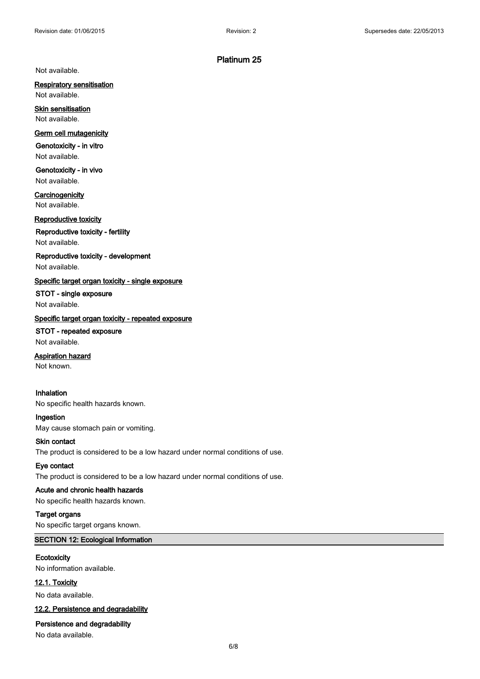Not available.

# **Respiratory sensitisation**

Not available.

**Skin sensitisation** Not available.

### **Germ cell mutagenicity**

**Genotoxicity - in vitro** Not available.

**Genotoxicity - in vivo** Not available.

**Carcinogenicity** Not available.

**Reproductive toxicity**

**Reproductive toxicity - fertility** Not available.

**Reproductive toxicity - development** Not available.

**Specific target organ toxicity - single exposure**

# **STOT - single exposure**

Not available.

# **Specific target organ toxicity - repeated exposure**

**STOT - repeated exposure** Not available.

**Aspiration hazard**

Not known.

# **Inhalation**

No specific health hazards known.

**Ingestion** May cause stomach pain or vomiting.

### **Skin contact**

The product is considered to be a low hazard under normal conditions of use.

# **Eye contact**

The product is considered to be a low hazard under normal conditions of use.

# **Acute and chronic health hazards**

No specific health hazards known.

**Target organs**

No specific target organs known.

### **SECTION 12: Ecological Information**

# **Ecotoxicity**

No information available.

### **12.1. Toxicity**

No data available.

### **12.2. Persistence and degradability**

# **Persistence and degradability**

No data available.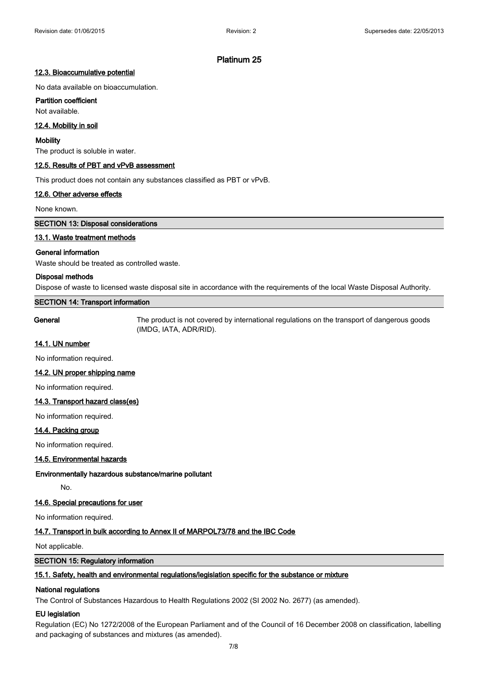### **12.3. Bioaccumulative potential**

No data available on bioaccumulation.

# **Partition coefficient**

Not available.

### **12.4. Mobility in soil**

### **Mobility**

The product is soluble in water.

### **12.5. Results of PBT and vPvB assessment**

This product does not contain any substances classified as PBT or vPvB.

### **12.6. Other adverse effects**

None known.

**SECTION 13: Disposal considerations**

# **13.1. Waste treatment methods**

### **General information**

Waste should be treated as controlled waste.

### **Disposal methods**

Dispose of waste to licensed waste disposal site in accordance with the requirements of the local Waste Disposal Authority.

# **SECTION 14: Transport information**

**General** The product is not covered by international regulations on the transport of dangerous goods (IMDG, IATA, ADR/RID).

### **14.1. UN number**

No information required.

### **14.2. UN proper shipping name**

No information required.

# **14.3. Transport hazard class(es)**

No information required.

### **14.4. Packing group**

No information required.

### **14.5. Environmental hazards**

### **Environmentally hazardous substance/marine pollutant**

No.

# **14.6. Special precautions for user**

No information required.

# **14.7. Transport in bulk according to Annex II of MARPOL73/78 and the IBC Code**

Not applicable.

## **SECTION 15: Regulatory information**

### **15.1. Safety, health and environmental regulations/legislation specific for the substance or mixture**

### **National regulations**

The Control of Substances Hazardous to Health Regulations 2002 (SI 2002 No. 2677) (as amended).

### **EU legislation**

Regulation (EC) No 1272/2008 of the European Parliament and of the Council of 16 December 2008 on classification, labelling and packaging of substances and mixtures (as amended).